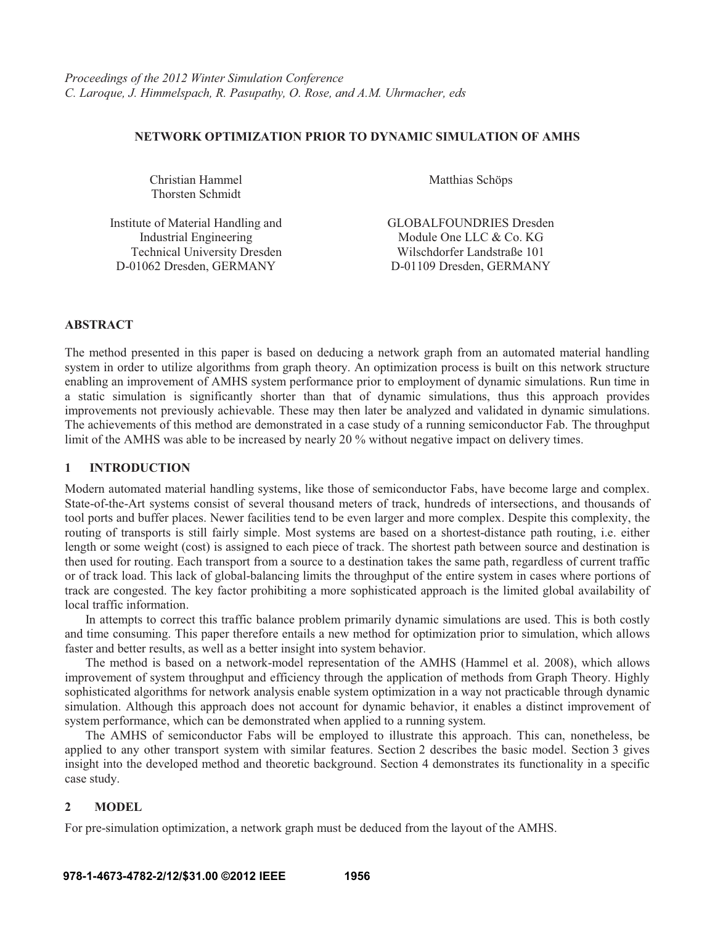## **NETWORK OPTIMIZATION PRIOR TO DYNAMIC SIMULATION OF AMHS**

Christian Hammel Thorsten Schmidt Matthias Schöps

Institute of Material Handling and Industrial Engineering Technical University Dresden Wilschdorfer Landstraße 101 D-01062 Dresden, GERMANY D-01109 Dresden, GERMANY

GLOBALFOUNDRIES Dresden Module One LLC & Co. KG

## **ABSTRACT**

The method presented in this paper is based on deducing a network graph from an automated material handling system in order to utilize algorithms from graph theory. An optimization process is built on this network structure enabling an improvement of AMHS system performance prior to employment of dynamic simulations. Run time in a static simulation is significantly shorter than that of dynamic simulations, thus this approach provides improvements not previously achievable. These may then later be analyzed and validated in dynamic simulations. The achievements of this method are demonstrated in a case study of a running semiconductor Fab. The throughput limit of the AMHS was able to be increased by nearly 20 % without negative impact on delivery times.

### **1 INTRODUCTION**

Modern automated material handling systems, like those of semiconductor Fabs, have become large and complex. State-of-the-Art systems consist of several thousand meters of track, hundreds of intersections, and thousands of tool ports and buffer places. Newer facilities tend to be even larger and more complex. Despite this complexity, the routing of transports is still fairly simple. Most systems are based on a shortest-distance path routing, i.e. either length or some weight (cost) is assigned to each piece of track. The shortest path between source and destination is then used for routing. Each transport from a source to a destination takes the same path, regardless of current traffic or of track load. This lack of global-balancing limits the throughput of the entire system in cases where portions of track are congested. The key factor prohibiting a more sophisticated approach is the limited global availability of local traffic information.

In attempts to correct this traffic balance problem primarily dynamic simulations are used. This is both costly and time consuming. This paper therefore entails a new method for optimization prior to simulation, which allows faster and better results, as well as a better insight into system behavior.

The method is based on a network-model representation of the AMHS (Hammel et al. 2008), which allows improvement of system throughput and efficiency through the application of methods from Graph Theory. Highly sophisticated algorithms for network analysis enable system optimization in a way not practicable through dynamic simulation. Although this approach does not account for dynamic behavior, it enables a distinct improvement of system performance, which can be demonstrated when applied to a running system.

The AMHS of semiconductor Fabs will be employed to illustrate this approach. This can, nonetheless, be applied to any other transport system with similar features. Section 2 describes the basic model. Section 3 gives insight into the developed method and theoretic background. Section 4 demonstrates its functionality in a specific case study.

### **2 MODEL**

For pre-simulation optimization, a network graph must be deduced from the layout of the AMHS.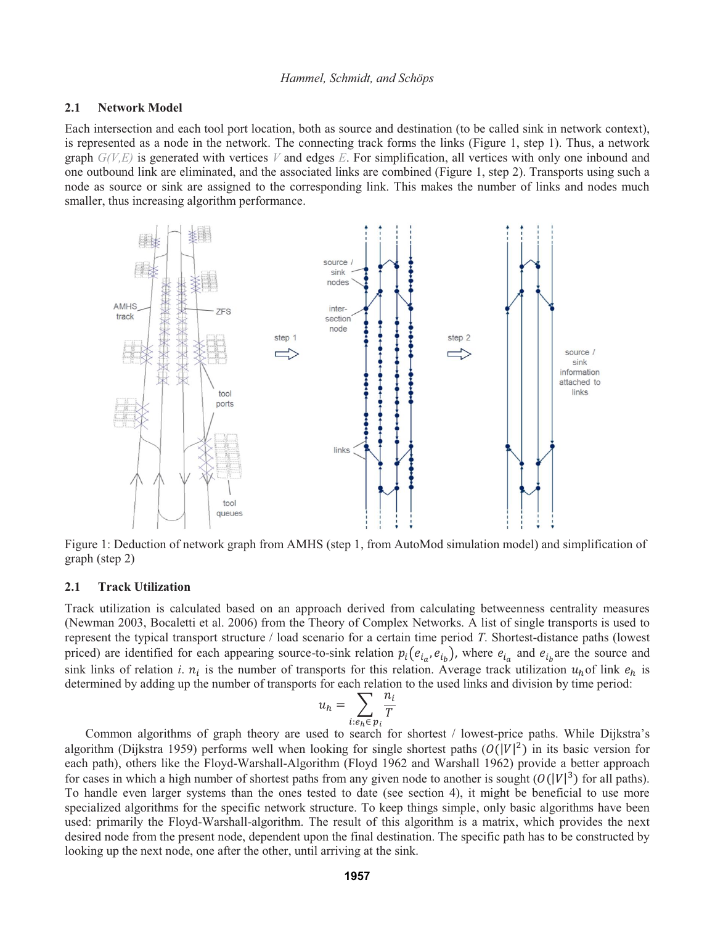### **2.1 Network Model**

Each intersection and each tool port location, both as source and destination (to be called sink in network context), is represented as a node in the network. The connecting track forms the links (Figure 1, step 1). Thus, a network graph *G(V,E)* is generated with vertices *V* and edges *E*. For simplification, all vertices with only one inbound and one outbound link are eliminated, and the associated links are combined (Figure 1, step 2). Transports using such a node as source or sink are assigned to the corresponding link. This makes the number of links and nodes much smaller, thus increasing algorithm performance.



Figure 1: Deduction of network graph from AMHS (step 1, from AutoMod simulation model) and simplification of graph (step 2)

#### **2.1 Track Utilization**

Track utilization is calculated based on an approach derived from calculating betweenness centrality measures (Newman 2003, Bocaletti et al. 2006) from the Theory of Complex Networks. A list of single transports is used to represent the typical transport structure / load scenario for a certain time period *T*. Shortest-distance paths (lowest priced) are identified for each appearing source-to-sink relation  $p_i(e_{i_a}, e_{i_b})$ , where  $e_{i_a}$  and  $e_{i_b}$  are the source and sink links of relation *i*.  $n_i$  is the number of transports for this relation. Average track utilization  $u_h$  of link  $e_h$  is determined by adding up the number of transports for each relation to the used links and division by time period:

$$
u_h = \sum_{i: e_h \in p_i} \frac{n_i}{T}
$$

Common algorithms of graph theory are used to search for shortest / lowest-price paths. While Dijkstra's algorithm (Dijkstra 1959) performs well when looking for single shortest paths  $(O(|V|^2)$  in its basic version for each path), others like the Floyd-Warshall-Algorithm (Floyd 1962 and Warshall 1962) provide a better approach for cases in which a high number of shortest paths from any given node to another is sought  $(O(|V|^3)$  for all paths). To handle even larger systems than the ones tested to date (see section 4), it might be beneficial to use more specialized algorithms for the specific network structure. To keep things simple, only basic algorithms have been used: primarily the Floyd-Warshall-algorithm. The result of this algorithm is a matrix, which provides the next desired node from the present node, dependent upon the final destination. The specific path has to be constructed by looking up the next node, one after the other, until arriving at the sink.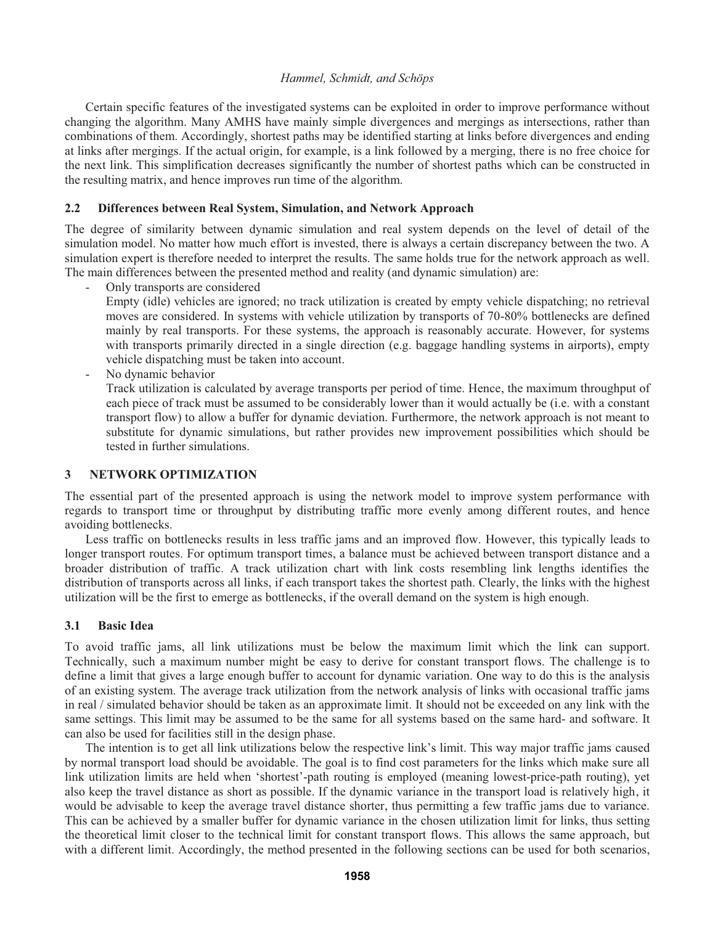Certain specific features of the investigated systems can be exploited in order to improve performance without changing the algorithm. Many AMHS have mainly simple divergences and mergings as intersections, rather than combinations of them. Accordingly, shortest paths may be identified starting at links before divergences and ending at links after mergings. If the actual origin, for example, is a link followed by a merging, there is no free choice for the next link. This simplification decreases significantly the number of shortest paths which can be constructed in the resulting matrix, and hence improves run time of the algorithm.

#### **2.2 Differences between Real System, Simulation, and Network Approach**

The degree of similarity between dynamic simulation and real system depends on the level of detail of the simulation model. No matter how much effort is invested, there is always a certain discrepancy between the two. A simulation expert is therefore needed to interpret the results. The same holds true for the network approach as well. The main differences between the presented method and reality (and dynamic simulation) are:

Only transports are considered

Empty (idle) vehicles are ignored; no track utilization is created by empty vehicle dispatching; no retrieval moves are considered. In systems with vehicle utilization by transports of 70-80% bottlenecks are defined mainly by real transports. For these systems, the approach is reasonably accurate. However, for systems with transports primarily directed in a single direction (e.g. baggage handling systems in airports), empty vehicle dispatching must be taken into account.

- No dynamic behavior

Track utilization is calculated by average transports per period of time. Hence, the maximum throughput of each piece of track must be assumed to be considerably lower than it would actually be (i.e. with a constant transport flow) to allow a buffer for dynamic deviation. Furthermore, the network approach is not meant to substitute for dynamic simulations, but rather provides new improvement possibilities which should be tested in further simulations.

## **3 NETWORK OPTIMIZATION**

The essential part of the presented approach is using the network model to improve system performance with regards to transport time or throughput by distributing traffic more evenly among different routes, and hence avoiding bottlenecks.

Less traffic on bottlenecks results in less traffic jams and an improved flow. However, this typically leads to longer transport routes. For optimum transport times, a balance must be achieved between transport distance and a broader distribution of traffic. A track utilization chart with link costs resembling link lengths identifies the distribution of transports across all links, if each transport takes the shortest path. Clearly, the links with the highest utilization will be the first to emerge as bottlenecks, if the overall demand on the system is high enough.

#### **3.1 Basic Idea**

To avoid traffic jams, all link utilizations must be below the maximum limit which the link can support. Technically, such a maximum number might be easy to derive for constant transport flows. The challenge is to define a limit that gives a large enough buffer to account for dynamic variation. One way to do this is the analysis of an existing system. The average track utilization from the network analysis of links with occasional traffic jams in real / simulated behavior should be taken as an approximate limit. It should not be exceeded on any link with the same settings. This limit may be assumed to be the same for all systems based on the same hard- and software. It can also be used for facilities still in the design phase.

The intention is to get all link utilizations below the respective link's limit. This way major traffic jams caused by normal transport load should be avoidable. The goal is to find cost parameters for the links which make sure all link utilization limits are held when 'shortest'-path routing is employed (meaning lowest-price-path routing), yet also keep the travel distance as short as possible. If the dynamic variance in the transport load is relatively high, it would be advisable to keep the average travel distance shorter, thus permitting a few traffic jams due to variance. This can be achieved by a smaller buffer for dynamic variance in the chosen utilization limit for links, thus setting the theoretical limit closer to the technical limit for constant transport flows. This allows the same approach, but with a different limit. Accordingly, the method presented in the following sections can be used for both scenarios,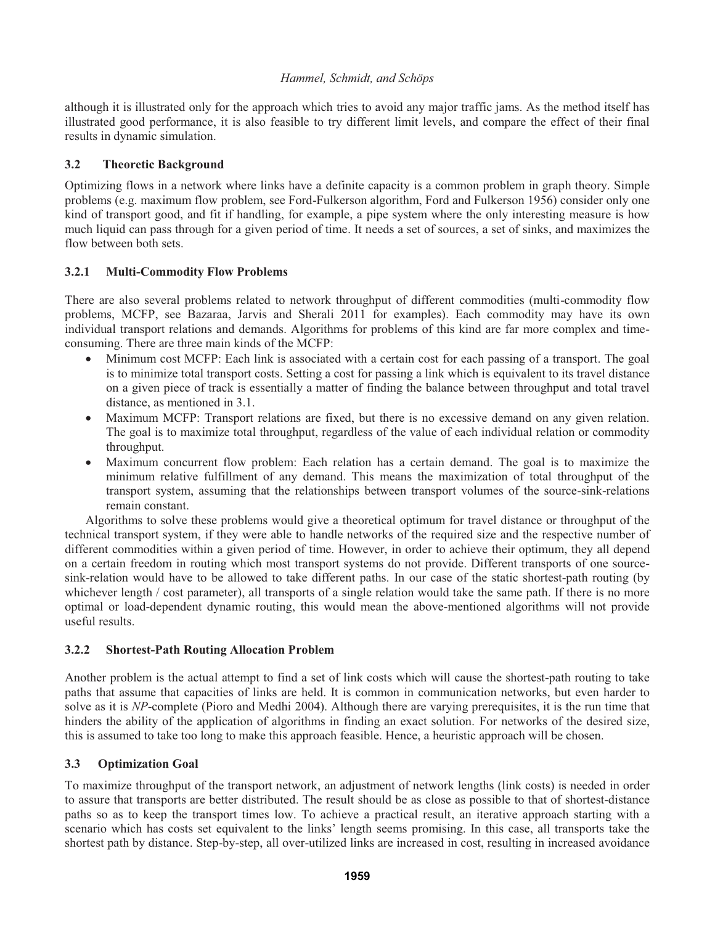although it is illustrated only for the approach which tries to avoid any major traffic jams. As the method itself has illustrated good performance, it is also feasible to try different limit levels, and compare the effect of their final results in dynamic simulation.

# **3.2 Theoretic Background**

Optimizing flows in a network where links have a definite capacity is a common problem in graph theory. Simple problems (e.g. maximum flow problem, see Ford-Fulkerson algorithm, Ford and Fulkerson 1956) consider only one kind of transport good, and fit if handling, for example, a pipe system where the only interesting measure is how much liquid can pass through for a given period of time. It needs a set of sources, a set of sinks, and maximizes the flow between both sets.

# **3.2.1 Multi-Commodity Flow Problems**

There are also several problems related to network throughput of different commodities (multi-commodity flow problems, MCFP, see Bazaraa, Jarvis and Sherali 2011 for examples). Each commodity may have its own individual transport relations and demands. Algorithms for problems of this kind are far more complex and timeconsuming. There are three main kinds of the MCFP:

- - Minimum cost MCFP: Each link is associated with a certain cost for each passing of a transport. The goal is to minimize total transport costs. Setting a cost for passing a link which is equivalent to its travel distance on a given piece of track is essentially a matter of finding the balance between throughput and total travel distance, as mentioned in 3.1.
- $\bullet$  Maximum MCFP: Transport relations are fixed, but there is no excessive demand on any given relation. The goal is to maximize total throughput, regardless of the value of each individual relation or commodity throughput.
- Maximum concurrent flow problem: Each relation has a certain demand. The goal is to maximize the minimum relative fulfillment of any demand. This means the maximization of total throughput of the transport system, assuming that the relationships between transport volumes of the source-sink-relations remain constant.

Algorithms to solve these problems would give a theoretical optimum for travel distance or throughput of the technical transport system, if they were able to handle networks of the required size and the respective number of different commodities within a given period of time. However, in order to achieve their optimum, they all depend on a certain freedom in routing which most transport systems do not provide. Different transports of one sourcesink-relation would have to be allowed to take different paths. In our case of the static shortest-path routing (by whichever length / cost parameter), all transports of a single relation would take the same path. If there is no more optimal or load-dependent dynamic routing, this would mean the above-mentioned algorithms will not provide useful results.

# **3.2.2 Shortest-Path Routing Allocation Problem**

Another problem is the actual attempt to find a set of link costs which will cause the shortest-path routing to take paths that assume that capacities of links are held. It is common in communication networks, but even harder to solve as it is *NP*-complete (Pioro and Medhi 2004). Although there are varying prerequisites, it is the run time that hinders the ability of the application of algorithms in finding an exact solution. For networks of the desired size, this is assumed to take too long to make this approach feasible. Hence, a heuristic approach will be chosen.

# **3.3 Optimization Goal**

To maximize throughput of the transport network, an adjustment of network lengths (link costs) is needed in order to assure that transports are better distributed. The result should be as close as possible to that of shortest-distance paths so as to keep the transport times low. To achieve a practical result, an iterative approach starting with a scenario which has costs set equivalent to the links' length seems promising. In this case, all transports take the shortest path by distance. Step-by-step, all over-utilized links are increased in cost, resulting in increased avoidance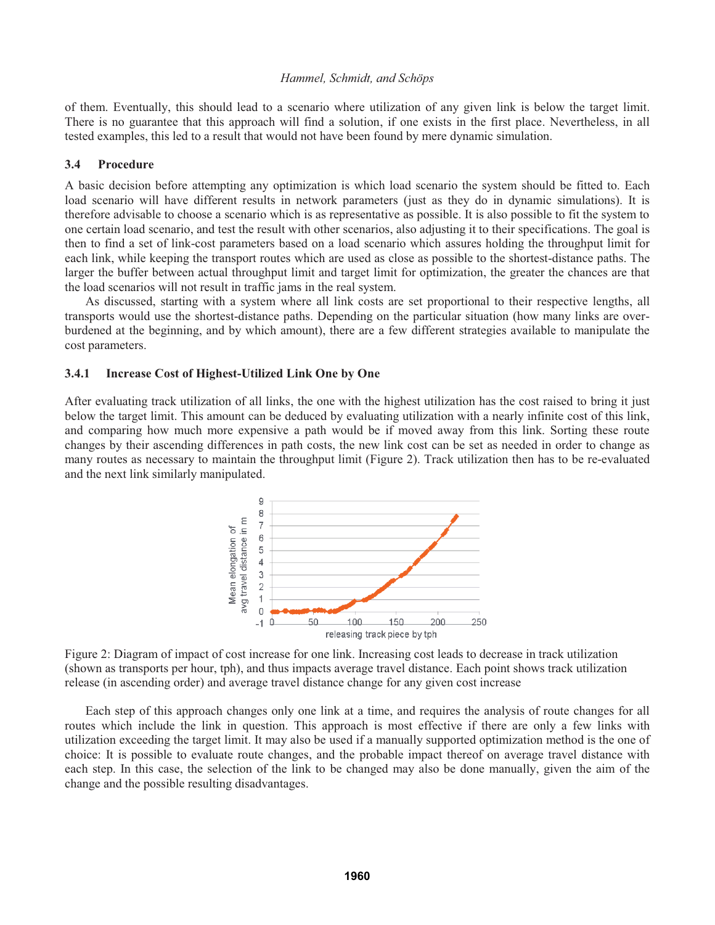of them. Eventually, this should lead to a scenario where utilization of any given link is below the target limit. There is no guarantee that this approach will find a solution, if one exists in the first place. Nevertheless, in all tested examples, this led to a result that would not have been found by mere dynamic simulation.

#### **3.4 Procedure**

A basic decision before attempting any optimization is which load scenario the system should be fitted to. Each load scenario will have different results in network parameters (just as they do in dynamic simulations). It is therefore advisable to choose a scenario which is as representative as possible. It is also possible to fit the system to one certain load scenario, and test the result with other scenarios, also adjusting it to their specifications. The goal is then to find a set of link-cost parameters based on a load scenario which assures holding the throughput limit for each link, while keeping the transport routes which are used as close as possible to the shortest-distance paths. The larger the buffer between actual throughput limit and target limit for optimization, the greater the chances are that the load scenarios will not result in traffic jams in the real system.

 As discussed, starting with a system where all link costs are set proportional to their respective lengths, all transports would use the shortest-distance paths. Depending on the particular situation (how many links are overburdened at the beginning, and by which amount), there are a few different strategies available to manipulate the cost parameters.

#### **3.4.1 Increase Cost of Highest-Utilized Link One by One**

After evaluating track utilization of all links, the one with the highest utilization has the cost raised to bring it just below the target limit. This amount can be deduced by evaluating utilization with a nearly infinite cost of this link, and comparing how much more expensive a path would be if moved away from this link. Sorting these route changes by their ascending differences in path costs, the new link cost can be set as needed in order to change as many routes as necessary to maintain the throughput limit (Figure 2). Track utilization then has to be re-evaluated and the next link similarly manipulated.



Figure 2: Diagram of impact of cost increase for one link. Increasing cost leads to decrease in track utilization (shown as transports per hour, tph), and thus impacts average travel distance. Each point shows track utilization release (in ascending order) and average travel distance change for any given cost increase

Each step of this approach changes only one link at a time, and requires the analysis of route changes for all routes which include the link in question. This approach is most effective if there are only a few links with utilization exceeding the target limit. It may also be used if a manually supported optimization method is the one of choice: It is possible to evaluate route changes, and the probable impact thereof on average travel distance with each step. In this case, the selection of the link to be changed may also be done manually, given the aim of the change and the possible resulting disadvantages.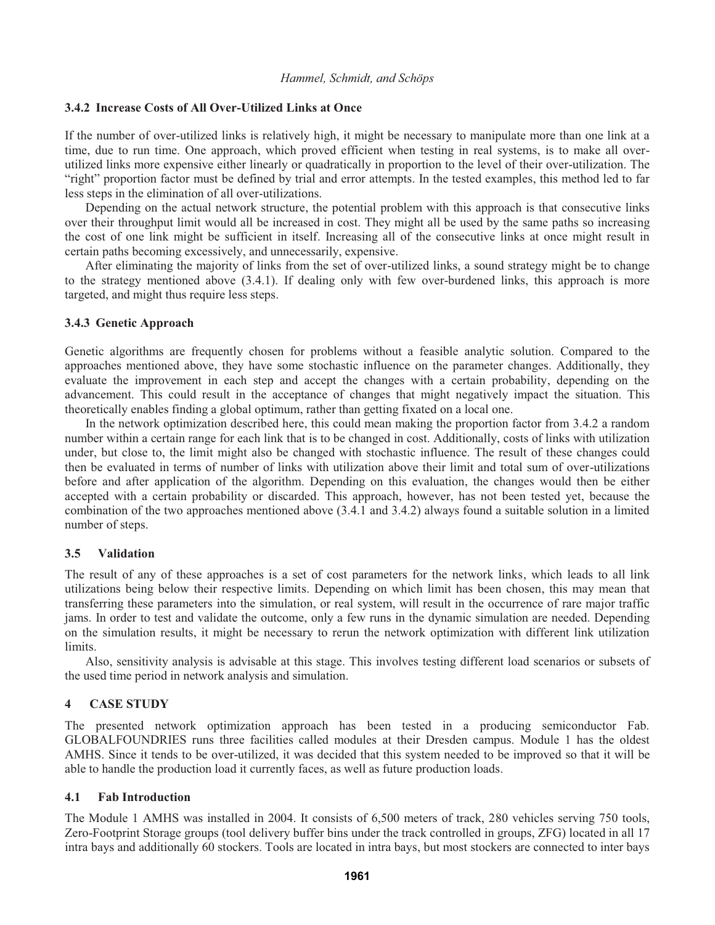## **3.4.2 Increase Costs of All Over-Utilized Links at Once**

If the number of over-utilized links is relatively high, it might be necessary to manipulate more than one link at a time, due to run time. One approach, which proved efficient when testing in real systems, is to make all overutilized links more expensive either linearly or quadratically in proportion to the level of their over-utilization. The "right" proportion factor must be defined by trial and error attempts. In the tested examples, this method led to far less steps in the elimination of all over-utilizations.

Depending on the actual network structure, the potential problem with this approach is that consecutive links over their throughput limit would all be increased in cost. They might all be used by the same paths so increasing the cost of one link might be sufficient in itself. Increasing all of the consecutive links at once might result in certain paths becoming excessively, and unnecessarily, expensive.

After eliminating the majority of links from the set of over-utilized links, a sound strategy might be to change to the strategy mentioned above (3.4.1). If dealing only with few over-burdened links, this approach is more targeted, and might thus require less steps.

## **3.4.3 Genetic Approach**

Genetic algorithms are frequently chosen for problems without a feasible analytic solution. Compared to the approaches mentioned above, they have some stochastic influence on the parameter changes. Additionally, they evaluate the improvement in each step and accept the changes with a certain probability, depending on the advancement. This could result in the acceptance of changes that might negatively impact the situation. This theoretically enables finding a global optimum, rather than getting fixated on a local one.

In the network optimization described here, this could mean making the proportion factor from 3.4.2 a random number within a certain range for each link that is to be changed in cost. Additionally, costs of links with utilization under, but close to, the limit might also be changed with stochastic influence. The result of these changes could then be evaluated in terms of number of links with utilization above their limit and total sum of over-utilizations before and after application of the algorithm. Depending on this evaluation, the changes would then be either accepted with a certain probability or discarded. This approach, however, has not been tested yet, because the combination of the two approaches mentioned above (3.4.1 and 3.4.2) always found a suitable solution in a limited number of steps.

### **3.5 Validation**

The result of any of these approaches is a set of cost parameters for the network links, which leads to all link utilizations being below their respective limits. Depending on which limit has been chosen, this may mean that transferring these parameters into the simulation, or real system, will result in the occurrence of rare major traffic jams. In order to test and validate the outcome, only a few runs in the dynamic simulation are needed. Depending on the simulation results, it might be necessary to rerun the network optimization with different link utilization limits.

Also, sensitivity analysis is advisable at this stage. This involves testing different load scenarios or subsets of the used time period in network analysis and simulation.

# **4 CASE STUDY**

The presented network optimization approach has been tested in a producing semiconductor Fab. GLOBALFOUNDRIES runs three facilities called modules at their Dresden campus. Module 1 has the oldest AMHS. Since it tends to be over-utilized, it was decided that this system needed to be improved so that it will be able to handle the production load it currently faces, as well as future production loads.

### **4.1 Fab Introduction**

The Module 1 AMHS was installed in 2004. It consists of 6,500 meters of track, 280 vehicles serving 750 tools, Zero-Footprint Storage groups (tool delivery buffer bins under the track controlled in groups, ZFG) located in all 17 intra bays and additionally 60 stockers. Tools are located in intra bays, but most stockers are connected to inter bays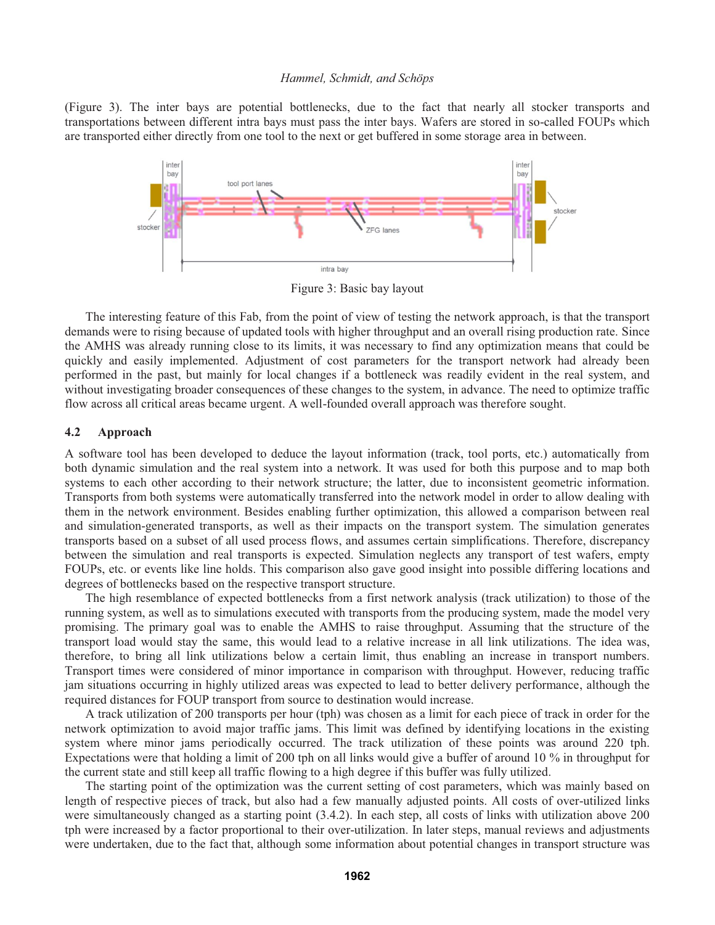(Figure 3). The inter bays are potential bottlenecks, due to the fact that nearly all stocker transports and transportations between different intra bays must pass the inter bays. Wafers are stored in so-called FOUPs which are transported either directly from one tool to the next or get buffered in some storage area in between.



Figure 3: Basic bay layout

The interesting feature of this Fab, from the point of view of testing the network approach, is that the transport demands were to rising because of updated tools with higher throughput and an overall rising production rate. Since the AMHS was already running close to its limits, it was necessary to find any optimization means that could be quickly and easily implemented. Adjustment of cost parameters for the transport network had already been performed in the past, but mainly for local changes if a bottleneck was readily evident in the real system, and without investigating broader consequences of these changes to the system, in advance. The need to optimize traffic flow across all critical areas became urgent. A well-founded overall approach was therefore sought.

#### **4.2 Approach**

A software tool has been developed to deduce the layout information (track, tool ports, etc.) automatically from both dynamic simulation and the real system into a network. It was used for both this purpose and to map both systems to each other according to their network structure; the latter, due to inconsistent geometric information. Transports from both systems were automatically transferred into the network model in order to allow dealing with them in the network environment. Besides enabling further optimization, this allowed a comparison between real and simulation-generated transports, as well as their impacts on the transport system. The simulation generates transports based on a subset of all used process flows, and assumes certain simplifications. Therefore, discrepancy between the simulation and real transports is expected. Simulation neglects any transport of test wafers, empty FOUPs, etc. or events like line holds. This comparison also gave good insight into possible differing locations and degrees of bottlenecks based on the respective transport structure.

The high resemblance of expected bottlenecks from a first network analysis (track utilization) to those of the running system, as well as to simulations executed with transports from the producing system, made the model very promising. The primary goal was to enable the AMHS to raise throughput. Assuming that the structure of the transport load would stay the same, this would lead to a relative increase in all link utilizations. The idea was, therefore, to bring all link utilizations below a certain limit, thus enabling an increase in transport numbers. Transport times were considered of minor importance in comparison with throughput. However, reducing traffic jam situations occurring in highly utilized areas was expected to lead to better delivery performance, although the required distances for FOUP transport from source to destination would increase.

A track utilization of 200 transports per hour (tph) was chosen as a limit for each piece of track in order for the network optimization to avoid major traffic jams. This limit was defined by identifying locations in the existing system where minor jams periodically occurred. The track utilization of these points was around 220 tph. Expectations were that holding a limit of 200 tph on all links would give a buffer of around 10 % in throughput for the current state and still keep all traffic flowing to a high degree if this buffer was fully utilized.

The starting point of the optimization was the current setting of cost parameters, which was mainly based on length of respective pieces of track, but also had a few manually adjusted points. All costs of over-utilized links were simultaneously changed as a starting point (3.4.2). In each step, all costs of links with utilization above 200 tph were increased by a factor proportional to their over-utilization. In later steps, manual reviews and adjustments were undertaken, due to the fact that, although some information about potential changes in transport structure was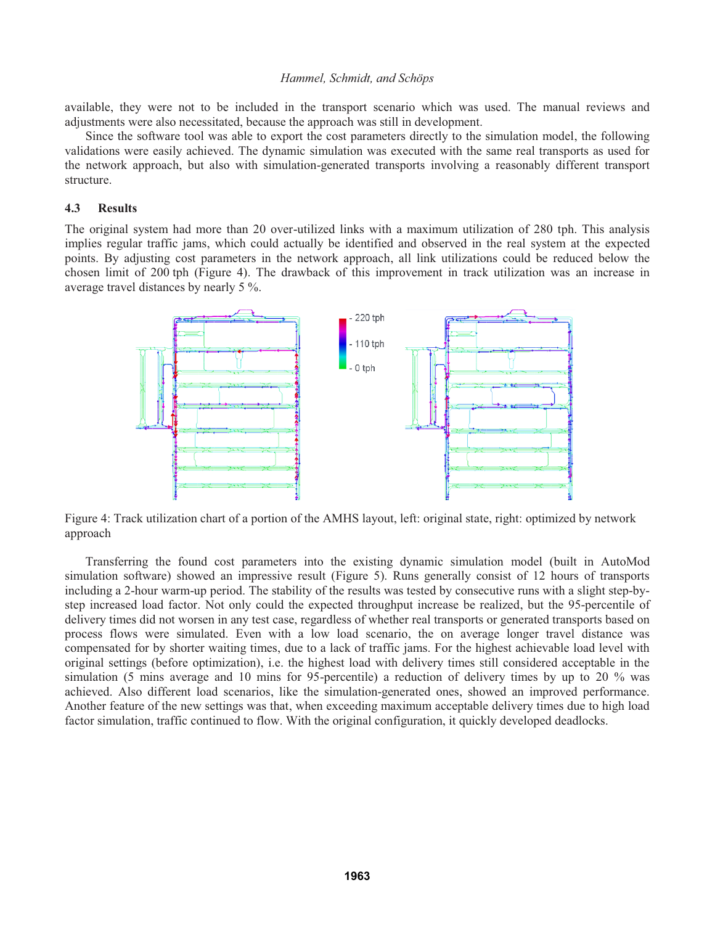available, they were not to be included in the transport scenario which was used. The manual reviews and adjustments were also necessitated, because the approach was still in development.

Since the software tool was able to export the cost parameters directly to the simulation model, the following validations were easily achieved. The dynamic simulation was executed with the same real transports as used for the network approach, but also with simulation-generated transports involving a reasonably different transport structure.

### **4.3 Results**

The original system had more than 20 over-utilized links with a maximum utilization of 280 tph. This analysis implies regular traffic jams, which could actually be identified and observed in the real system at the expected points. By adjusting cost parameters in the network approach, all link utilizations could be reduced below the chosen limit of 200 tph (Figure 4). The drawback of this improvement in track utilization was an increase in average travel distances by nearly 5 %.



Figure 4: Track utilization chart of a portion of the AMHS layout, left: original state, right: optimized by network approach

Transferring the found cost parameters into the existing dynamic simulation model (built in AutoMod simulation software) showed an impressive result (Figure 5). Runs generally consist of 12 hours of transports including a 2-hour warm-up period. The stability of the results was tested by consecutive runs with a slight step-bystep increased load factor. Not only could the expected throughput increase be realized, but the 95-percentile of delivery times did not worsen in any test case, regardless of whether real transports or generated transports based on process flows were simulated. Even with a low load scenario, the on average longer travel distance was compensated for by shorter waiting times, due to a lack of traffic jams. For the highest achievable load level with original settings (before optimization), i.e. the highest load with delivery times still considered acceptable in the simulation (5 mins average and 10 mins for 95-percentile) a reduction of delivery times by up to 20 % was achieved. Also different load scenarios, like the simulation-generated ones, showed an improved performance. Another feature of the new settings was that, when exceeding maximum acceptable delivery times due to high load factor simulation, traffic continued to flow. With the original configuration, it quickly developed deadlocks.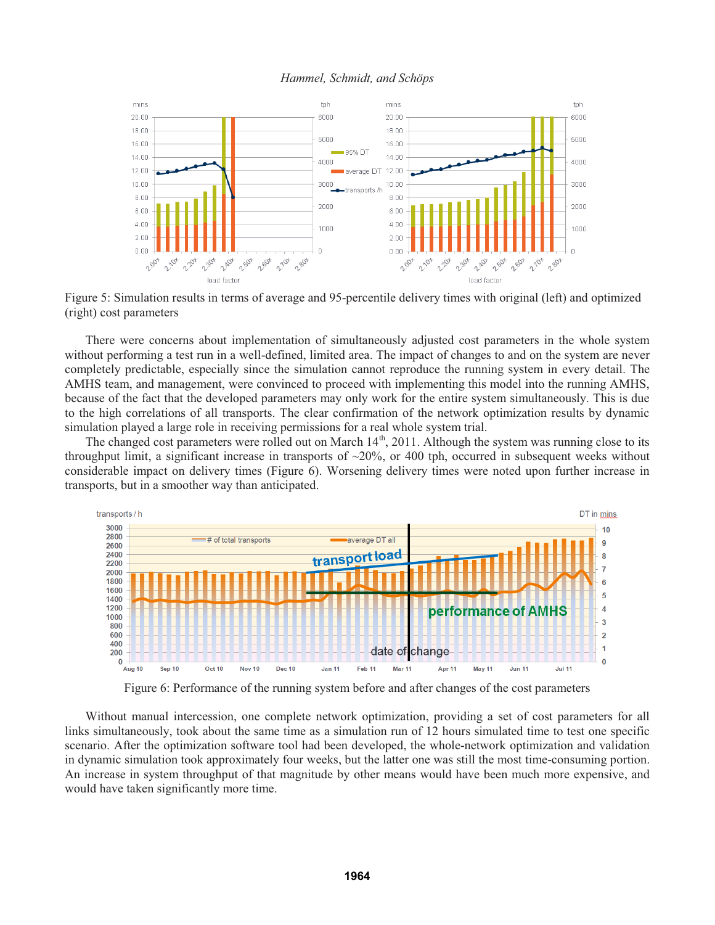

Figure 5: Simulation results in terms of average and 95-percentile delivery times with original (left) and optimized (right) cost parameters

There were concerns about implementation of simultaneously adjusted cost parameters in the whole system without performing a test run in a well-defined, limited area. The impact of changes to and on the system are never completely predictable, especially since the simulation cannot reproduce the running system in every detail. The AMHS team, and management, were convinced to proceed with implementing this model into the running AMHS, because of the fact that the developed parameters may only work for the entire system simultaneously. This is due to the high correlations of all transports. The clear confirmation of the network optimization results by dynamic simulation played a large role in receiving permissions for a real whole system trial.

The changed cost parameters were rolled out on March  $14<sup>th</sup>$ , 2011. Although the system was running close to its throughput limit, a significant increase in transports of  $\sim 20\%$ , or 400 tph, occurred in subsequent weeks without considerable impact on delivery times (Figure 6). Worsening delivery times were noted upon further increase in transports, but in a smoother way than anticipated.



Figure 6: Performance of the running system before and after changes of the cost parameters

Without manual intercession, one complete network optimization, providing a set of cost parameters for all links simultaneously, took about the same time as a simulation run of 12 hours simulated time to test one specific scenario. After the optimization software tool had been developed, the whole-network optimization and validation in dynamic simulation took approximately four weeks, but the latter one was still the most time-consuming portion. An increase in system throughput of that magnitude by other means would have been much more expensive, and would have taken significantly more time.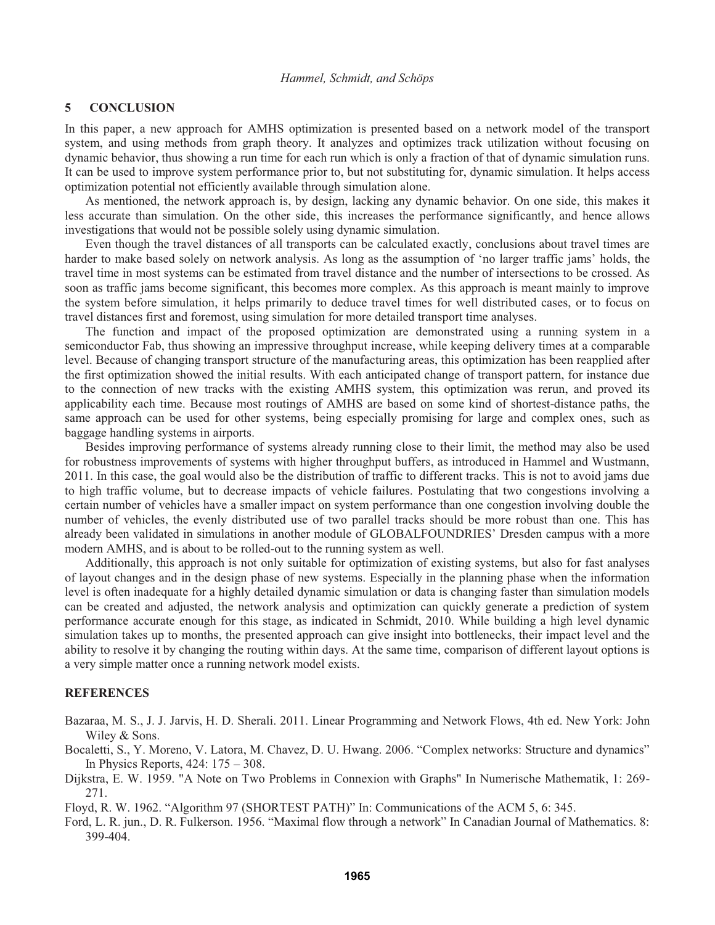#### **5 CONCLUSION**

In this paper, a new approach for AMHS optimization is presented based on a network model of the transport system, and using methods from graph theory. It analyzes and optimizes track utilization without focusing on dynamic behavior, thus showing a run time for each run which is only a fraction of that of dynamic simulation runs. It can be used to improve system performance prior to, but not substituting for, dynamic simulation. It helps access optimization potential not efficiently available through simulation alone.

 As mentioned, the network approach is, by design, lacking any dynamic behavior. On one side, this makes it less accurate than simulation. On the other side, this increases the performance significantly, and hence allows investigations that would not be possible solely using dynamic simulation.

Even though the travel distances of all transports can be calculated exactly, conclusions about travel times are harder to make based solely on network analysis. As long as the assumption of 'no larger traffic jams' holds, the travel time in most systems can be estimated from travel distance and the number of intersections to be crossed. As soon as traffic jams become significant, this becomes more complex. As this approach is meant mainly to improve the system before simulation, it helps primarily to deduce travel times for well distributed cases, or to focus on travel distances first and foremost, using simulation for more detailed transport time analyses.

The function and impact of the proposed optimization are demonstrated using a running system in a semiconductor Fab, thus showing an impressive throughput increase, while keeping delivery times at a comparable level. Because of changing transport structure of the manufacturing areas, this optimization has been reapplied after the first optimization showed the initial results. With each anticipated change of transport pattern, for instance due to the connection of new tracks with the existing AMHS system, this optimization was rerun, and proved its applicability each time. Because most routings of AMHS are based on some kind of shortest-distance paths, the same approach can be used for other systems, being especially promising for large and complex ones, such as baggage handling systems in airports.

Besides improving performance of systems already running close to their limit, the method may also be used for robustness improvements of systems with higher throughput buffers, as introduced in Hammel and Wustmann, 2011. In this case, the goal would also be the distribution of traffic to different tracks. This is not to avoid jams due to high traffic volume, but to decrease impacts of vehicle failures. Postulating that two congestions involving a certain number of vehicles have a smaller impact on system performance than one congestion involving double the number of vehicles, the evenly distributed use of two parallel tracks should be more robust than one. This has already been validated in simulations in another module of GLOBALFOUNDRIES' Dresden campus with a more modern AMHS, and is about to be rolled-out to the running system as well.

Additionally, this approach is not only suitable for optimization of existing systems, but also for fast analyses of layout changes and in the design phase of new systems. Especially in the planning phase when the information level is often inadequate for a highly detailed dynamic simulation or data is changing faster than simulation models can be created and adjusted, the network analysis and optimization can quickly generate a prediction of system performance accurate enough for this stage, as indicated in Schmidt, 2010. While building a high level dynamic simulation takes up to months, the presented approach can give insight into bottlenecks, their impact level and the ability to resolve it by changing the routing within days. At the same time, comparison of different layout options is a very simple matter once a running network model exists.

## **REFERENCES**

- Bazaraa, M. S., J. J. Jarvis, H. D. Sherali. 2011. Linear Programming and Network Flows, 4th ed. New York: John Wiley & Sons.
- Bocaletti, S., Y. Moreno, V. Latora, M. Chavez, D. U. Hwang. 2006. "Complex networks: Structure and dynamics" In Physics Reports, 424: 175 – 308.
- Dijkstra, E. W. 1959. "A Note on Two Problems in Connexion with Graphs" In Numerische Mathematik, 1: 269- 271.

Floyd, R. W. 1962. "Algorithm 97 (SHORTEST PATH)" In: Communications of the ACM 5, 6: 345.

Ford, L. R. jun., D. R. Fulkerson. 1956. "Maximal flow through a network" In Canadian Journal of Mathematics. 8: 399-404.